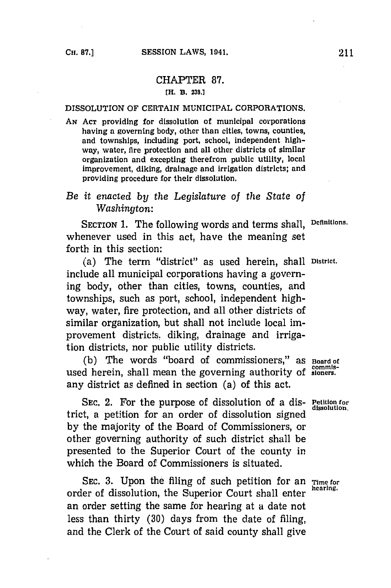## CHAPTER **87. [H. B. 238.1**

## **DISSOLUTION** OF **CERTAIN** MUNICIPAL CORPORATIONS.

- *AN* **ACT** providing for dissolution of municipal corporations having **a** governing body, other than cities, towns, counties, and townships, Including port, school, independent **high**way, water, fire protection and all other districts of similar organization and excepting therefrom public utility, local Improvement, diking, drainage and Irrigation districts; and providing procedure for their dissolution.
- *Be it enacted by the Legislature of the State of Washington:*

SECTION **1.** The following words and terms shall, **Definitions.** whenever used in this act, have the meaning set forth in this section:

(a) The term "district" as used herein, shall **District.** include all municipal corporations having a governing body, other than cities, towns, counties, and townships, such as port, school, independent highway, water, fire protection, and all other districts of similar organization, but shall not include local improvement districts. diking, drainage and irrigation districts, nor public utility districts.

**(b)** The words "board of commissioners," as **Board of** used herein, shall mean the governing authority of sioners. any district as defined in section (a) of this act.

SEC. 2. For the purpose of dissolution of a dis- Petition for dissolution. trict, a petition for an order of dissolution signed **by** the majority of the Board of Commissioners, or other governing authority of such district shall be presented to the Superior Court of the county in which the Board of Commissioners is situated.

SEC. 3. Upon the filing of such petition for an **Time for** order of dissolution, the Superior Court shall enter an order setting the same for hearing at a date not less than thirty **(30)** days from the date of filing, and the Clerk of the Court of said county shall give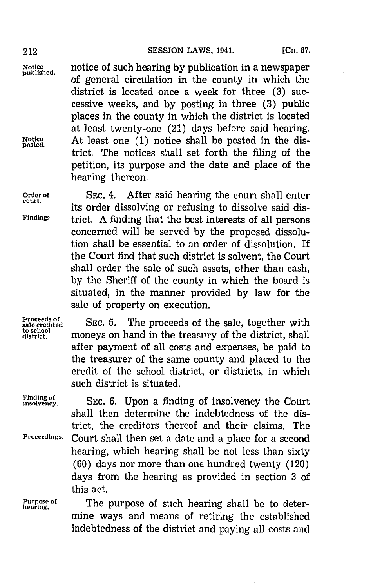**Notice** notice of such hearing **by** publication in a newspaper **published,** of general circulation in the county in which the district is located once a week for three **(3)** successive weeks, and **by** posting in three **(3)** public places in the county in which the district is located at least twenty-one (21) days before said hearing. **Notice** At least one **(1)** notice shall be posted in the dis- **posted.** trict. The notices shall set forth the filing of the petition, its purpose and the date and place of the hearing thereon.

Order of SEC. 4. After said hearing the court shall enter its order dissolving or refusing to dissolve said dis-**'Findings.** trict. **A** finding that the best interests of all persons concerned will be served **by** the proposed dissolution shall be essential to an order of dissolution. If the Court find that such district is solvent, the Court shall order the sale of such assets, other than cash, **by** the Sheriff of the county in which the board is situated, in the manner provided **by** law for the sale of property on execution.

**Proceeds of** sale credited<br>to school<br>district

SEC. 5. The proceeds of the sale, together with moneys on hand in the treasury of the district, shall after payment of all costs and expenses, be paid to the treasurer of the same county and placed to the credit of the school district, or districts, in which such district is situated.

Finding of **SEC.** 6. Upon a finding of insolvency the Court shall then determine the indebtedness of the district, the creditors thereof and their claims. The **Proceedings.** Court shall then set a date and a place for a second hearing, which hearing shall be not less than sixty **(60)** days nor more than one hundred twenty (120) days from the hearing as provided in section **3** of this act.

Purpose of **The purpose of such hearing shall be to deter**mine ways and means of retiring the established indebtedness of the district and paying all costs and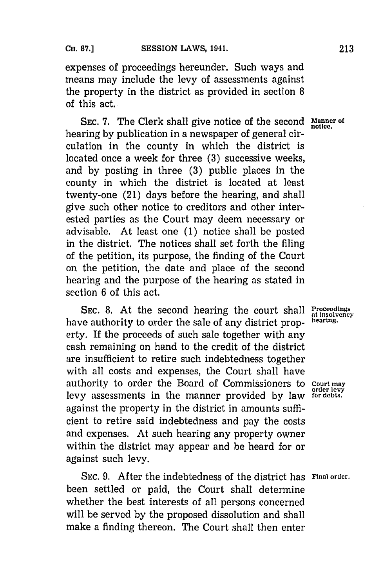expenses of proceedings hereunder. Such ways and means may include the levy of assessments against the property in the district as provided in section **8** of this act.

**SEC. 7.** The Clerk shall give notice of the second **Manner of notice.** hearing **by** publication in a newspaper of general circulation in the county in which the district is located once a week for three **(3)** successive weeks, and **by** posting in three **(3)** public places in the county in which the district is located at least twenty-one (21) days before the hearing, and shall give such other notice to creditors and other interested parties as the Court may deem necessary or advisable. At least one **(1)** notice shall be posted in the district. The notices shall set forth the filing of the petition, its purpose, the finding of the Court on. the petition, the date and place of the second hearing and the purpose of the hearing as stated in section 6 of this act.

**SEC. 8.** At the second hearing the court shall have authority to order the sale of any district property. If the proceeds of such sale together with any cash remaining on hand to the credit of the district are insufficient to retire such indebtedness together with all costs and expenses, the Court shall have authority to order the Board of Commissioners to **Court may order lcvy** levy assessments in the manner provided **by** law **for debts..** against the property in the district in amounts sufficient to retire said indebtedness and pay the costs and expenses. At such hearing any property owner within the district may appear and be heard for or against such levy.

**SEC. 9.** After the indebtedness of the district has **Final order.** been settled or paid, the Court shall determine whether the best interests of all persons concerned will be served **by** the proposed dissolution and shall make a finding thereon. The Court shall then enter

**Proceedings**<br>at insolvency<br>hearing.